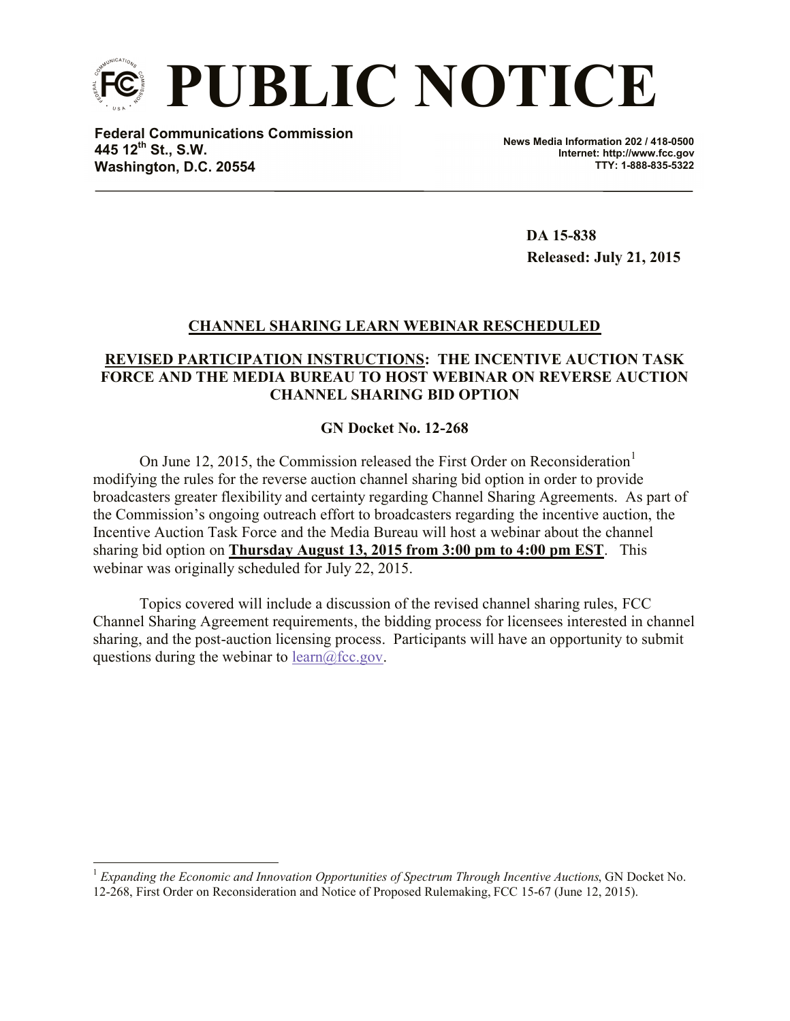

**Federal Communications Commission 445 12th St., S.W. Washington, D.C. 20554**

 $\overline{a}$ 

**News Media Information 202 / 418-0500 Internet: http://www.fcc.gov TTY: 1-888-835-5322**

> **DA 15-838 Released: July 21, 2015**

## **CHANNEL SHARING LEARN WEBINAR RESCHEDULED**

## **REVISED PARTICIPATION INSTRUCTIONS: THE INCENTIVE AUCTION TASK FORCE AND THE MEDIA BUREAU TO HOST WEBINAR ON REVERSE AUCTION CHANNEL SHARING BID OPTION**

## **GN Docket No. 12-268**

On June 12, 2015, the Commission released the First Order on Reconsideration<sup>1</sup> modifying the rules for the reverse auction channel sharing bid option in order to provide broadcasters greater flexibility and certainty regarding Channel Sharing Agreements. As part of the Commission's ongoing outreach effort to broadcasters regarding the incentive auction, the Incentive Auction Task Force and the Media Bureau will host a webinar about the channel sharing bid option on **Thursday August 13, 2015 from 3:00 pm to 4:00 pm EST**. This webinar was originally scheduled for July 22, 2015.

Topics covered will include a discussion of the revised channel sharing rules, FCC Channel Sharing Agreement requirements, the bidding process for licensees interested in channel sharing, and the post-auction licensing process. Participants will have an opportunity to submit questions during the webinar to  $learn@$ fcc.gov.

<sup>1</sup> *Expanding the Economic and Innovation Opportunities of Spectrum Through Incentive Auctions*, GN Docket No. 12-268, First Order on Reconsideration and Notice of Proposed Rulemaking, FCC 15-67 (June 12, 2015).